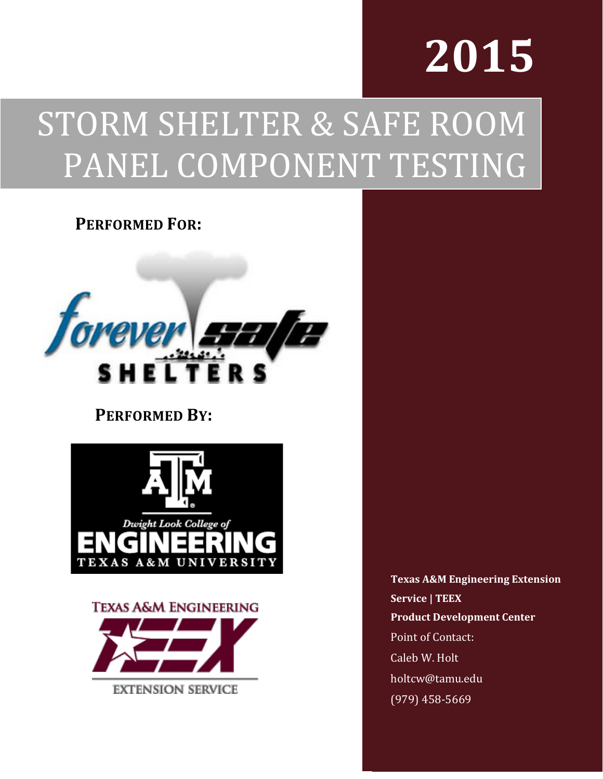# **2015**

# STORM SHELTER & SAFE ROOM PANEL COMPONENT TESTING

#### **PERFORMED FOR:**



### **PERFORMED BY:**



**TEXAS A&M ENGINEERING EXTENSION SERVICE** 

**Texas A&M Engineering Extension Service | TEEX Product Development Center** Point of Contact: Caleb W. Holt holtcw@tamu.edu (979) 458-5669